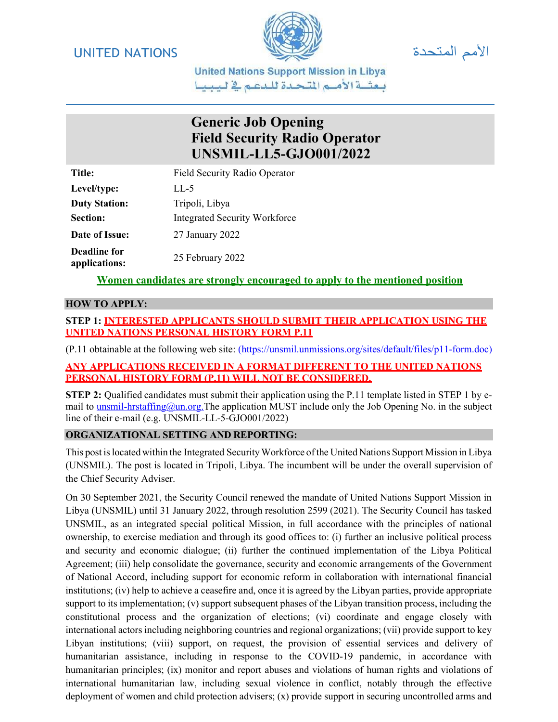



**United Nations Support Mission in Libya** يعشية الأميم المتحدة للدعم فج ليبينا

## Generic Job Opening Field Security Radio Operator UNSMIL-LL5-GJO001/2022

Title: Field Security Radio Operator Level/type: LL-5 Duty Station: Tripoli, Libya Section: Integrated Security Workforce Date of Issue: 27 January 2022 Deadline for applications: 25 February 2022

Women candidates are strongly encouraged to apply to the mentioned position

#### HOW TO APPLY:

### STEP 1: INTERESTED APPLICANTS SHOULD SUBMIT THEIR APPLICATION USING THE UNITED NATIONS PERSONAL HISTORY FORM P.11

(P.11 obtainable at the following web site: (https://unsmil.unmissions.org/sites/default/files/p11-form.doc)

#### ANY APPLICATIONS RECEIVED IN A FORMAT DIFFERENT TO THE UNITED NATIONS PERSONAL HISTORY FORM (P.11) WILL NOT BE CONSIDERED.

STEP 2: Qualified candidates must submit their application using the P.11 template listed in STEP 1 by email to unsmil-hrstaffing@un.org.The application MUST include only the Job Opening No. in the subject line of their e-mail (e.g. UNSMIL-LL-5-GJO001/2022)

### ORGANIZATIONAL SETTING AND REPORTING:

This post is located within the Integrated Security Workforce of the United Nations Support Mission in Libya (UNSMIL). The post is located in Tripoli, Libya. The incumbent will be under the overall supervision of the Chief Security Adviser.

On 30 September 2021, the Security Council renewed the mandate of United Nations Support Mission in Libya (UNSMIL) until 31 January 2022, through resolution 2599 (2021). The Security Council has tasked UNSMIL, as an integrated special political Mission, in full accordance with the principles of national ownership, to exercise mediation and through its good offices to: (i) further an inclusive political process and security and economic dialogue; (ii) further the continued implementation of the Libya Political Agreement; (iii) help consolidate the governance, security and economic arrangements of the Government of National Accord, including support for economic reform in collaboration with international financial institutions; (iv) help to achieve a ceasefire and, once it is agreed by the Libyan parties, provide appropriate support to its implementation; (v) support subsequent phases of the Libyan transition process, including the constitutional process and the organization of elections; (vi) coordinate and engage closely with international actors including neighboring countries and regional organizations; (vii) provide support to key Libyan institutions; (viii) support, on request, the provision of essential services and delivery of humanitarian assistance, including in response to the COVID-19 pandemic, in accordance with humanitarian principles; (ix) monitor and report abuses and violations of human rights and violations of international humanitarian law, including sexual violence in conflict, notably through the effective deployment of women and child protection advisers; (x) provide support in securing uncontrolled arms and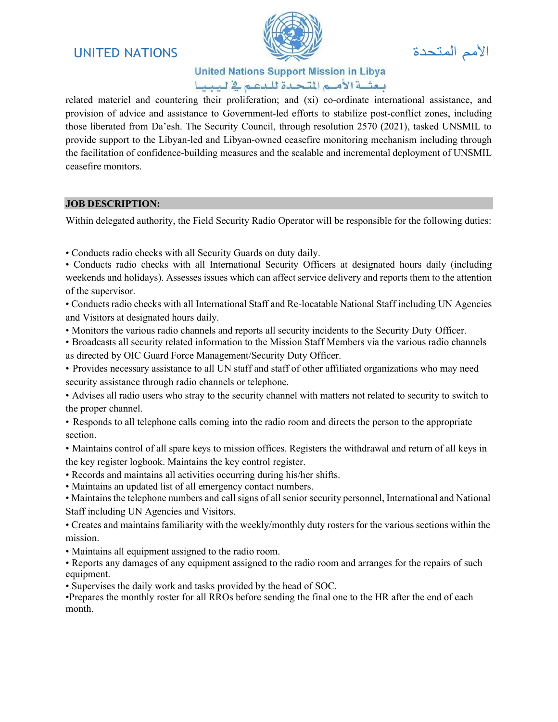## الأمم المتحدة المستحدة الأسم المتحدة الأمم المتحدة المستحدة المستحدة المستحدة المستحدة المستخدمة المستخدمة الم



## **United Nations Support Mission in Libya** يعشية الأميم المتحدة للدعم فج ليبينا

related materiel and countering their proliferation; and (xi) co-ordinate international assistance, and provision of advice and assistance to Government-led efforts to stabilize post-conflict zones, including those liberated from Da'esh. The Security Council, through resolution 2570 (2021), tasked UNSMIL to provide support to the Libyan-led and Libyan-owned ceasefire monitoring mechanism including through the facilitation of confidence-building measures and the scalable and incremental deployment of UNSMIL ceasefire monitors.

#### JOB DESCRIPTION:

Within delegated authority, the Field Security Radio Operator will be responsible for the following duties:

• Conducts radio checks with all Security Guards on duty daily.

• Conducts radio checks with all International Security Officers at designated hours daily (including weekends and holidays). Assesses issues which can affect service delivery and reports them to the attention of the supervisor.

• Conducts radio checks with all International Staff and Re-locatable National Staff including UN Agencies and Visitors at designated hours daily.

• Monitors the various radio channels and reports all security incidents to the Security Duty Officer.

• Broadcasts all security related information to the Mission Staff Members via the various radio channels as directed by OIC Guard Force Management/Security Duty Officer.

- Provides necessary assistance to all UN staff and staff of other affiliated organizations who may need security assistance through radio channels or telephone.
- Advises all radio users who stray to the security channel with matters not related to security to switch to the proper channel.

• Responds to all telephone calls coming into the radio room and directs the person to the appropriate section.

- Maintains control of all spare keys to mission offices. Registers the withdrawal and return of all keys in the key register logbook. Maintains the key control register.
- Records and maintains all activities occurring during his/her shifts.
- Maintains an updated list of all emergency contact numbers.

• Maintains the telephone numbers and call signs of all senior security personnel, International and National Staff including UN Agencies and Visitors.

• Creates and maintains familiarity with the weekly/monthly duty rosters for the various sections within the mission.

• Maintains all equipment assigned to the radio room.

• Reports any damages of any equipment assigned to the radio room and arranges for the repairs of such equipment.

• Supervises the daily work and tasks provided by the head of SOC.

•Prepares the monthly roster for all RROs before sending the final one to the HR after the end of each month.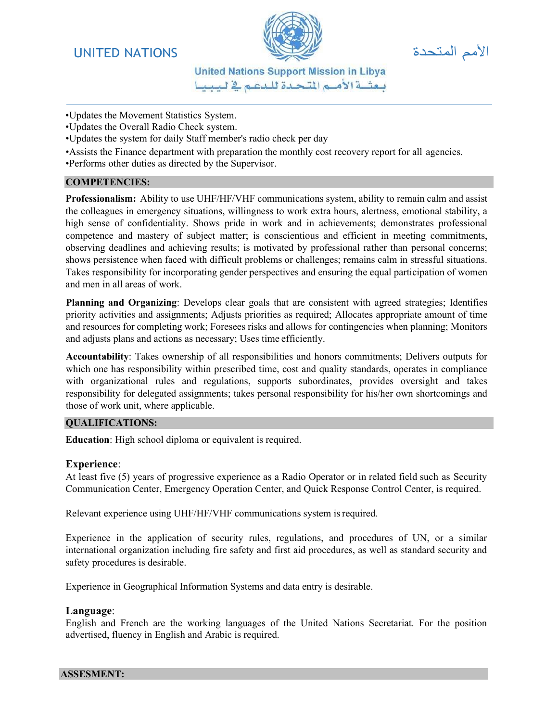## الأمم المتحدة المسلمة الألبي المسلمة الألبي المسلمة المسلمة المسلمة المسلمة المسلمة المسلمة المسلمة المسلمة ال



**United Nations Support Mission in Libya** يعشية الأميم المتحدة للدعم فج ليبينا

- •Updates the Movement Statistics System.
- •Updates the Overall Radio Check system.
- •Updates the system for daily Staff member's radio check per day
- •Assists the Finance department with preparation the monthly cost recovery report for all agencies.

•Performs other duties as directed by the Supervisor.

#### COMPETENCIES:

Professionalism: Ability to use UHF/HF/VHF communications system, ability to remain calm and assist the colleagues in emergency situations, willingness to work extra hours, alertness, emotional stability, a high sense of confidentiality. Shows pride in work and in achievements; demonstrates professional competence and mastery of subject matter; is conscientious and efficient in meeting commitments, observing deadlines and achieving results; is motivated by professional rather than personal concerns; shows persistence when faced with difficult problems or challenges; remains calm in stressful situations. Takes responsibility for incorporating gender perspectives and ensuring the equal participation of women and men in all areas of work.

Planning and Organizing: Develops clear goals that are consistent with agreed strategies; Identifies priority activities and assignments; Adjusts priorities as required; Allocates appropriate amount of time and resources for completing work; Foresees risks and allows for contingencies when planning; Monitors and adjusts plans and actions as necessary; Uses time efficiently.

Accountability: Takes ownership of all responsibilities and honors commitments; Delivers outputs for which one has responsibility within prescribed time, cost and quality standards, operates in compliance with organizational rules and regulations, supports subordinates, provides oversight and takes responsibility for delegated assignments; takes personal responsibility for his/her own shortcomings and those of work unit, where applicable.

#### QUALIFICATIONS:

Education: High school diploma or equivalent is required.

#### Experience:

At least five (5) years of progressive experience as a Radio Operator or in related field such as Security Communication Center, Emergency Operation Center, and Quick Response Control Center, is required.

Relevant experience using UHF/HF/VHF communications system is required.

Experience in the application of security rules, regulations, and procedures of UN, or a similar international organization including fire safety and first aid procedures, as well as standard security and safety procedures is desirable.

Experience in Geographical Information Systems and data entry is desirable.

#### Language:

English and French are the working languages of the United Nations Secretariat. For the position advertised, fluency in English and Arabic is required.